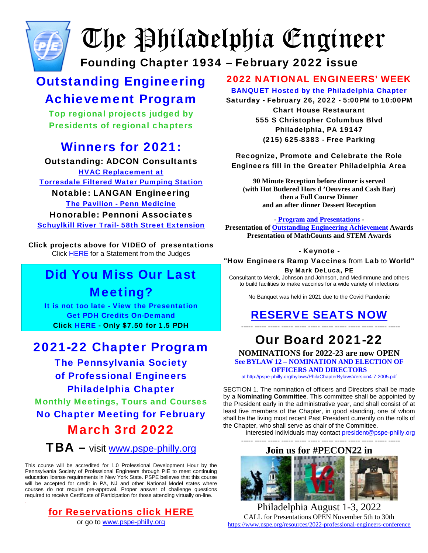

# The Philadelphia Engineer

Founding Chapter 1934 – February 2022 issue

## Outstanding Engineering

## Achievement Program

Top regional projects judged by Presidents of regional chapters

## Winners for 2021:

#### Outstanding: ADCON Consultants

**[HVAC Replacement at](http://www.pspe-philly.org/oea/2021OEA/TorresdalePumpingStation.mp4)** [Torresdale Filtered Water Pumping Station](http://www.pspe-philly.org/oea/2021OEA/TorresdalePumpingStation.mp4) Notable: LANGAN Engineering [The Pavilion - Penn Medicine](http://www.pspe-philly.org/oea/2021OEA/Penn%20Medicine%20Pavilion%20PSPE%20Award%20Slides.mp4) Honorable: Pennoni Associates [Schuylkill River Trail- 58th Street Extension](https://pennoni1-my.sharepoint.com/:v:/g/personal/ldouthwaite_pennoni_com/EXNw5diO5tlJn43Mz2rVuNUB7kq7MsnY1BhPkHmzkIjY0A?e=UEdRBK)

Click projects above for VIDEO of presentations Click [HERE](http://www.pspe-philly.org/oea/2021OEA/OEAAward2021decision.pdf) for a Statement from the Judges

## Did You Miss Our Last Meeting?

It is not too late - View the Presentation Get PDH Credits On-Demand Click [HERE](http://pspe-philly.org/MCECourses/BuyNow-1.htm#21o) - Only \$7.50 for 1.5 PDH

### 2021-22 Chapter Program

The Pennsylvania Society of Professional Engineers Philadelphia Chapter Monthly Meetings, Tours and Courses No Chapter Meeting for February March 3rd 2022  $TBA -$  visit [www.pspe-philly.org](http://www.pspe-philly.org/)

This course will be accredited for 1.0 Professional Development Hour by the Pennsylvania Society of Professional Engineers through PIE to meet continuing education license requirements in New York State. PSPE believes that this course will be accepted for credit in PA, NJ and other National Model states where courses do not require pre-approval. Proper answer of challenge questions required to receive Certificate of Participation for those attending virtually on-line. .

#### [for Reservations click HERE](http://pspe-philly.org/#reservations)

or go to [www.pspe-philly.org](http://www.pspe-philly.org/)

#### 2022 NATIONAL ENGINEERS' WEEK

BANQUET Hosted by the Philadelphia Chapter Saturday - February 26, 2022 - 5:00**PM to** 10:00**PM** Chart House Restaurant 555 S Christopher Columbus Blvd Philadelphia, PA 19147 (215) 625-8383 - Free Parking

#### Recognize, Promote and Celebrate the Role Engineers fill in the Greater Philadelphia Area

. **90 Minute Reception before dinner is served (with Hot Butlered Hors d 'Oeuvres and Cash Bar) then a Full Course Dinner and an after dinner Dessert Reception**

#### . **- [Program and Presentations](http://pspe-philly.org/EWeek/2022EngineersWeekBanquetFlyer.pdf) -**

**Presentation of [Outstanding Engineering Achievement](http://pspe-philly.org/index.html#OEA) Awards Presentation of MathCounts and STEM Awards** 

#### - Keynote -

"How Engineers Ramp Vaccines from Lab to World" By Mark DeLuca, PE

Consultant to Merck, Johnson and Johnson, and Medimmune and others to build facilities to make vaccines for a wide variety of infections

No Banquet was held in 2021 due to the Covid Pandemic

#### [RESERVE SEATS NOW](http://pspe-philly.org/#BuyBanquet) ----- ----- ----- ----- ----- ----- ----- ----- ----- ----- ----- -----

## Our Board 2021-22

**NOMINATIONS for 2022-23 are now OPEN [See BYLAW 12 – NOMINATION AND ELECTION OF](http://pspe-philly.org/bylaws/PhilaChapterBylawsVersion4-7-2005.pdf)  [OFFICERS AND DIRECTORS](http://pspe-philly.org/bylaws/PhilaChapterBylawsVersion4-7-2005.pdf)**

[at http://pspe-philly.org/bylaws/PhilaChapterBylawsVersion4-7-2005.pdf](http://pspe-philly.org/bylaws/PhilaChapterBylawsVersion4-7-2005.pdf)

SECTION 1. The nomination of officers and Directors shall be made by a **Nominating Committee**. This committee shall be appointed by the President early in the administrative year, and shall consist of at least five members of the Chapter, in good standing, one of whom shall be the living most recent Past President currently on the rolls of the Chapter, who shall serve as chair of the Committee.

Interested individuals may contact [president@pspe-philly.org](mailto:president@pspe-philly.org) 

----- ----- ----- ----- ----- ----- ----- ----- ----- ----- ----- -----

#### **Join us for #PECON22 in**



Philadelphia August 1-3, 2022 CALL for Presentations OPEN November 5th to 30th <https://www.nspe.org/resources/2022-professional-engineers-conference>